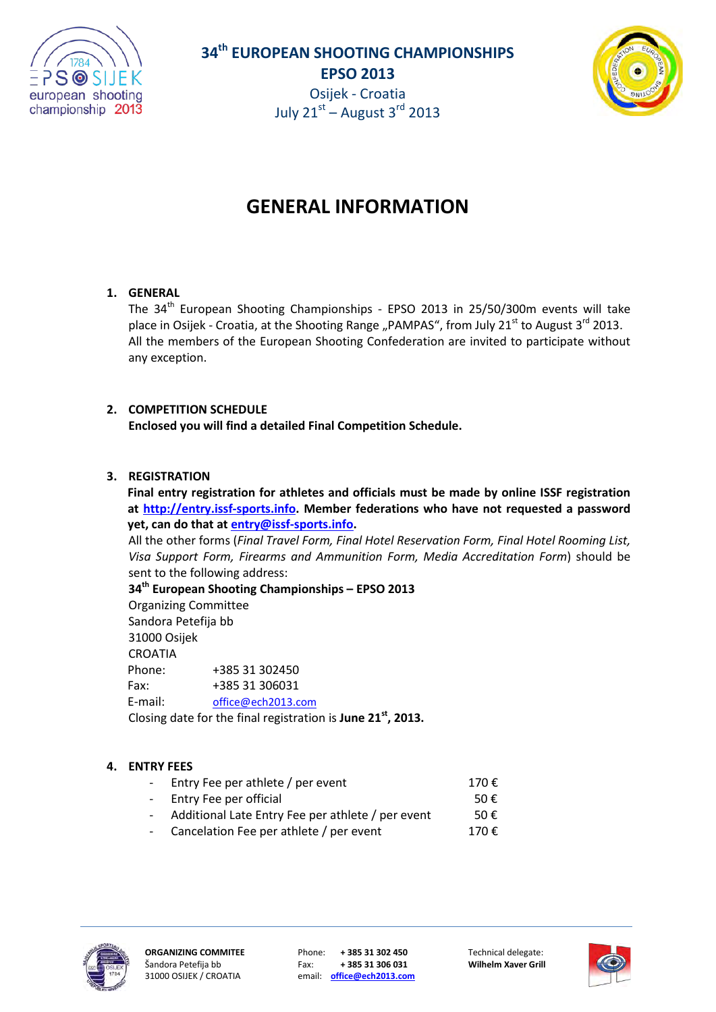



# **GENERAL INFORMATION**

# **1. GENERAL**

The 34<sup>th</sup> European Shooting Championships - EPSO 2013 in 25/50/300m events will take place in Osijek - Croatia, at the Shooting Range "PAMPAS", from July 21<sup>st</sup> to August 3<sup>rd</sup> 2013. All the members of the European Shooting Confederation are invited to participate without any exception.

# **2. COMPETITION SCHEDULE**

**Enclosed you will find a detailed Final Competition Schedule.**

# **3. REGISTRATION**

**Final entry registration for athletes and officials must be made by online ISSF registration at [http://entry.issf-sports.info.](http://entry.issf-sports.info/) Member federations who have not requested a password yet, can do that at [entry@issf-sports.info.](mailto:entry@issf-sports.info)**

All the other forms (*Final Travel Form, Final Hotel Reservation Form, Final Hotel Rooming List, Visa Support Form, Firearms and Ammunition Form, Media Accreditation Form*) should be sent to the following address:

**34th European Shooting Championships – EPSO 2013**  Organizing Committee Sandora Petefija bb 31000 Osijek CROATIA Phone: +385 31 302450 Fax: +385 31 306031 E-mail: [office@ech2013.com](mailto:office@ech2013.com) Closing date for the final registration is **June 21st, 2013.**

# **4. ENTRY FEES**

| - Entry Fee per athlete / per event                 | 170€          |
|-----------------------------------------------------|---------------|
| - Entry Fee per official                            | 50 $\epsilon$ |
| - Additional Late Entry Fee per athlete / per event | 50€           |
|                                                     |               |

Cancelation Fee per athlete / per event  $170 \text{ } \in$ 



31000 OSIJEK / CROATIA email: **[office@ech2013.com](mailto:office@ech2013.com)**

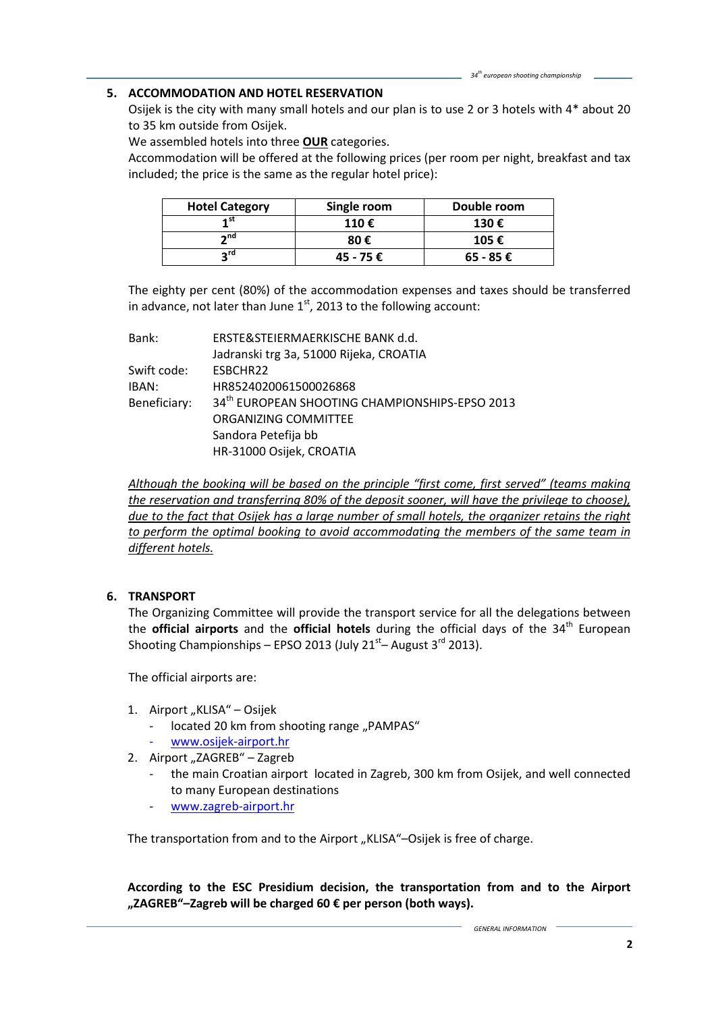## **5. ACCOMMODATION AND HOTEL RESERVATION**

Osijek is the city with many small hotels and our plan is to use 2 or 3 hotels with 4\* about 20 to 35 km outside from Osijek.

We assembled hotels into three **OUR** categories.

Accommodation will be offered at the following prices (per room per night, breakfast and tax included; the price is the same as the regular hotel price):

| <b>Hotel Category</b> | Single room | Double room   |
|-----------------------|-------------|---------------|
|                       | 110€        | 130€          |
| $\sim$ nd             | 80€         | 105 €         |
| ∽rd                   | 45 - 75 €   | $65 - 85 \in$ |

The eighty per cent (80%) of the accommodation expenses and taxes should be transferred in advance, not later than June  $1<sup>st</sup>$ , 2013 to the following account:

| Bank:        | ERSTE&STEIERMAERKISCHE BANK d.d.                           |
|--------------|------------------------------------------------------------|
|              | Jadranski trg 3a, 51000 Rijeka, CROATIA                    |
| Swift code:  | ESBCHR22                                                   |
| IBAN:        | HR8524020061500026868                                      |
| Beneficiary: | 34 <sup>th</sup> EUROPEAN SHOOTING CHAMPIONSHIPS-EPSO 2013 |
|              | ORGANIZING COMMITTEE                                       |
|              | Sandora Petefija bb                                        |
|              | HR-31000 Osijek, CROATIA                                   |

*Although the booking will be based on the principle "first come, first served" (teams making the reservation and transferring 80% of the deposit sooner, will have the privilege to choose), due to the fact that Osijek has a large number of small hotels, the organizer retains the right to perform the optimal booking to avoid accommodating the members of the same team in different hotels.*

## **6. TRANSPORT**

The Organizing Committee will provide the transport service for all the delegations between the **official airports** and the **official hotels** during the official days of the 34<sup>th</sup> European Shooting Championships – EPSO 2013 (July  $21<sup>st</sup>$ – August 3<sup>rd</sup> 2013).

The official airports are:

- 1. Airport "KLISA" Osijek
	- located 20 km from shooting range "PAMPAS"
	- [www.osijek-airport.hr](http://www.osijek-airport.hr/)
- 2. Airport "ZAGREB" Zagreb
	- the main Croatian airport located in Zagreb, 300 km from Osijek, and well connected to many European destinations
	- [www.zagreb-airport.hr](http://www.zagreb-airport.hr/)

The transportation from and to the Airport "KLISA"–Osijek is free of charge.

**According to the ESC Presidium decision, the transportation from and to the Airport "ZAGREB"–Zagreb will be charged 60 € per person (both ways).**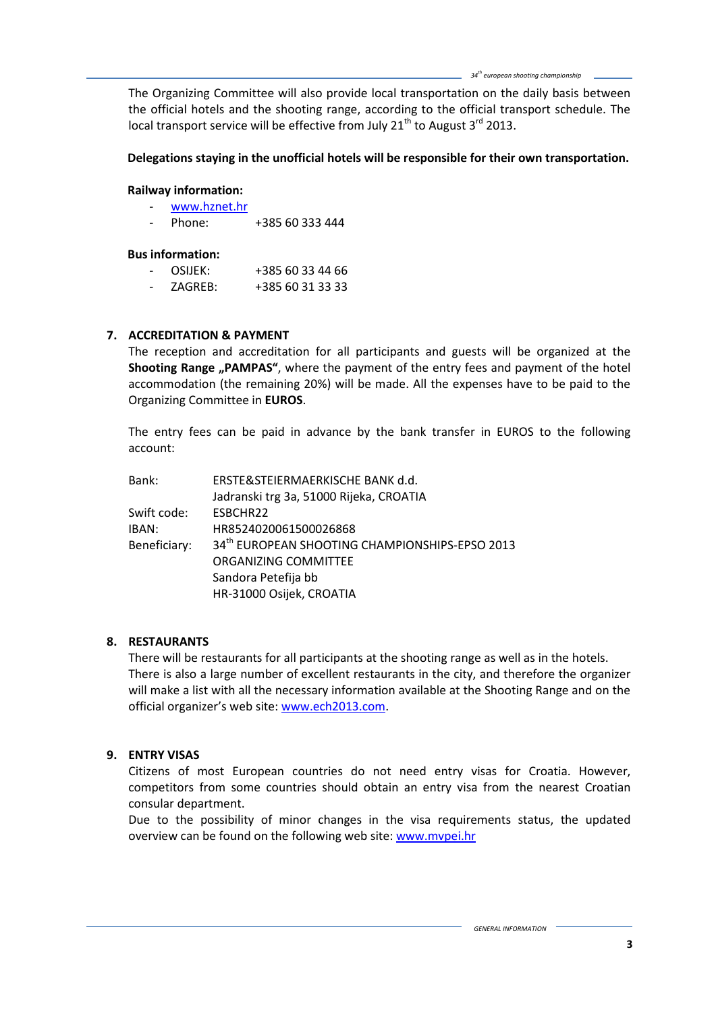The Organizing Committee will also provide local transportation on the daily basis between the official hotels and the shooting range, according to the official transport schedule. The local transport service will be effective from July  $21<sup>th</sup>$  to August  $3<sup>rd</sup>$  2013.

## **Delegations staying in the unofficial hotels will be responsible for their own transportation.**

## **Railway information:**

- [www.hznet.hr](http://www.hznet.hr/)
- Phone: +385 60 333 444

## **Bus information:**

- OSIJEK: +385 60 33 44 66
- ZAGREB: +385 60 31 33 33

# **7. ACCREDITATION & PAYMENT**

The reception and accreditation for all participants and guests will be organized at the **Shooting Range "PAMPAS"**, where the payment of the entry fees and payment of the hotel accommodation (the remaining 20%) will be made. All the expenses have to be paid to the Organizing Committee in **EUROS**.

The entry fees can be paid in advance by the bank transfer in EUROS to the following account:

| Bank:        | ERSTE&STEIERMAERKISCHE BANK d.d.                           |
|--------------|------------------------------------------------------------|
|              | Jadranski trg 3a, 51000 Rijeka, CROATIA                    |
| Swift code:  | ESBCHR22                                                   |
| IBAN:        | HR8524020061500026868                                      |
| Beneficiary: | 34 <sup>th</sup> EUROPEAN SHOOTING CHAMPIONSHIPS-EPSO 2013 |
|              | ORGANIZING COMMITTEE                                       |
|              | Sandora Petefija bb                                        |
|              | HR-31000 Osijek, CROATIA                                   |
|              |                                                            |

# **8. RESTAURANTS**

There will be restaurants for all participants at the shooting range as well as in the hotels. There is also a large number of excellent restaurants in the city, and therefore the organizer will make a list with all the necessary information available at the Shooting Range and on the official organizer's web site: [www.ech2013.com.](http://www.ech2013.com/)

# **9. ENTRY VISAS**

Citizens of most European countries do not need entry visas for Croatia. However, competitors from some countries should obtain an entry visa from the nearest Croatian consular department.

Due to the possibility of minor changes in the visa requirements status, the updated overview can be found on the following web site: www.mvpei.hr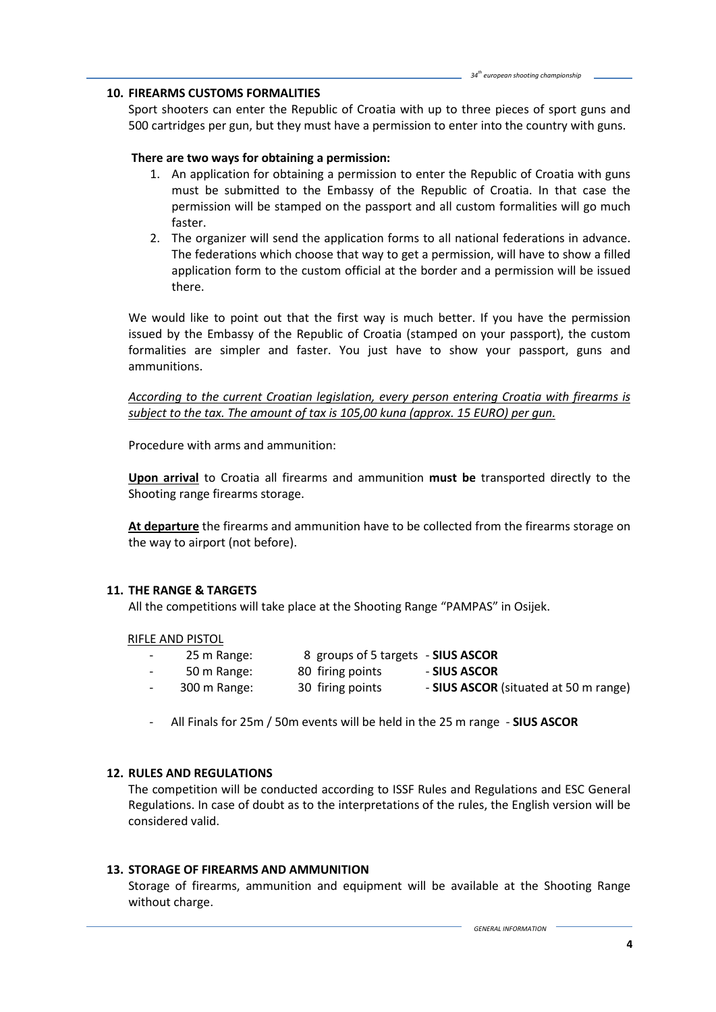#### **10. FIREARMS CUSTOMS FORMALITIES**

Sport shooters can enter the Republic of Croatia with up to three pieces of sport guns and 500 cartridges per gun, but they must have a permission to enter into the country with guns.

#### **There are two ways for obtaining a permission:**

- 1. An application for obtaining a permission to enter the Republic of Croatia with guns must be submitted to the Embassy of the Republic of Croatia. In that case the permission will be stamped on the passport and all custom formalities will go much faster.
- 2. The organizer will send the application forms to all national federations in advance. The federations which choose that way to get a permission, will have to show a filled application form to the custom official at the border and a permission will be issued there.

We would like to point out that the first way is much better. If you have the permission issued by the Embassy of the Republic of Croatia (stamped on your passport), the custom formalities are simpler and faster. You just have to show your passport, guns and ammunitions.

*According to the current Croatian legislation, every person entering Croatia with firearms is subject to the tax. The amount of tax is 105,00 kuna (approx. 15 EURO) per gun.*

Procedure with arms and ammunition:

**Upon arrival** to Croatia all firearms and ammunition **must be** transported directly to the Shooting range firearms storage.

**At departure** the firearms and ammunition have to be collected from the firearms storage on the way to airport (not before).

## **11. THE RANGE & TARGETS**

All the competitions will take place at the Shooting Range "PAMPAS" in Osijek.

#### RIFLE AND PISTOL

- 25 m Range: 8 groups of 5 targets **SIUS ASCOR** - 50 m Range: 80 firing points - **SIUS ASCOR**
- 300 m Range: 30 firing points **SIUS ASCOR** (situated at 50 m range)
	- All Finals for 25m / 50m events will be held in the 25 m range **SIUS ASCOR**

## **12. RULES AND REGULATIONS**

The competition will be conducted according to ISSF Rules and Regulations and ESC General Regulations. In case of doubt as to the interpretations of the rules, the English version will be considered valid.

#### **13. STORAGE OF FIREARMS AND AMMUNITION**

Storage of firearms, ammunition and equipment will be available at the Shooting Range without charge.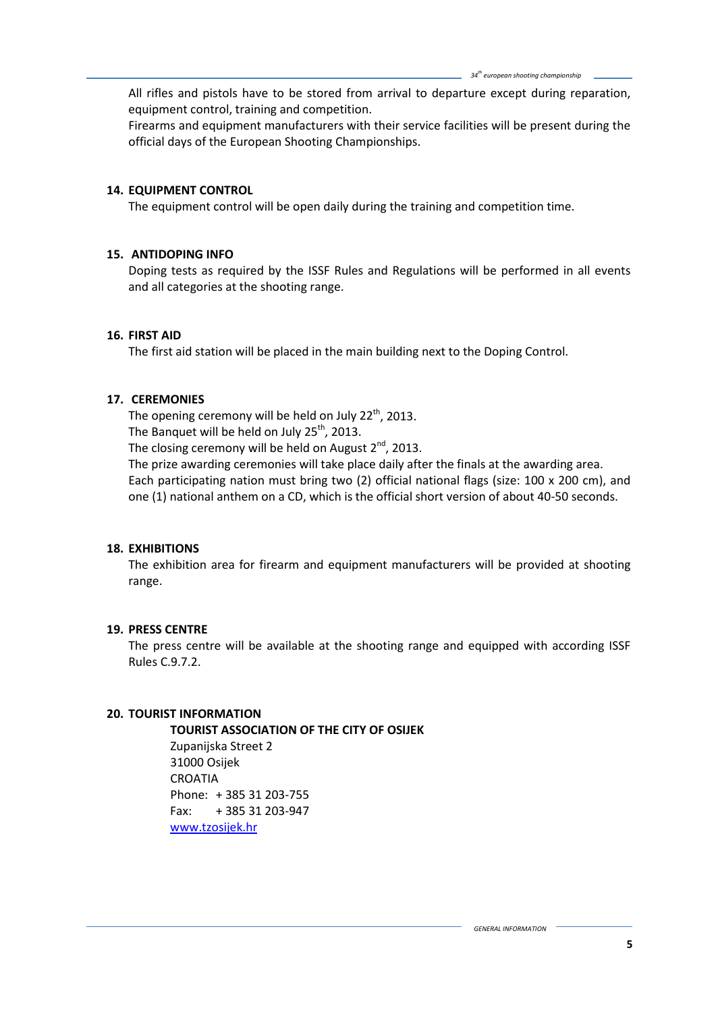All rifles and pistols have to be stored from arrival to departure except during reparation, equipment control, training and competition.

Firearms and equipment manufacturers with their service facilities will be present during the official days of the European Shooting Championships.

## **14. EQUIPMENT CONTROL**

The equipment control will be open daily during the training and competition time.

#### **15. ANTIDOPING INFO**

Doping tests as required by the ISSF Rules and Regulations will be performed in all events and all categories at the shooting range.

#### **16. FIRST AID**

The first aid station will be placed in the main building next to the Doping Control.

#### **17. CEREMONIES**

The opening ceremony will be held on July  $22<sup>th</sup>$ , 2013. The Banquet will be held on July  $25^{th}$ , 2013.

The closing ceremony will be held on August  $2^{nd}$ , 2013.

The prize awarding ceremonies will take place daily after the finals at the awarding area. Each participating nation must bring two (2) official national flags (size: 100 x 200 cm), and one (1) national anthem on a CD, which is the official short version of about 40-50 seconds.

## **18. EXHIBITIONS**

The exhibition area for firearm and equipment manufacturers will be provided at shooting range.

#### **19. PRESS CENTRE**

The press centre will be available at the shooting range and equipped with according ISSF Rules C.9.7.2.

#### **20. TOURIST INFORMATION**

**TOURIST ASSOCIATION OF THE CITY OF OSIJEK**

Zupanijska Street 2 31000 Osijek CROATIA Phone: + 385 31 203-755 Fax: + 385 31 203-947 [www.tzosijek.hr](http://www.tzosijek.hr/)